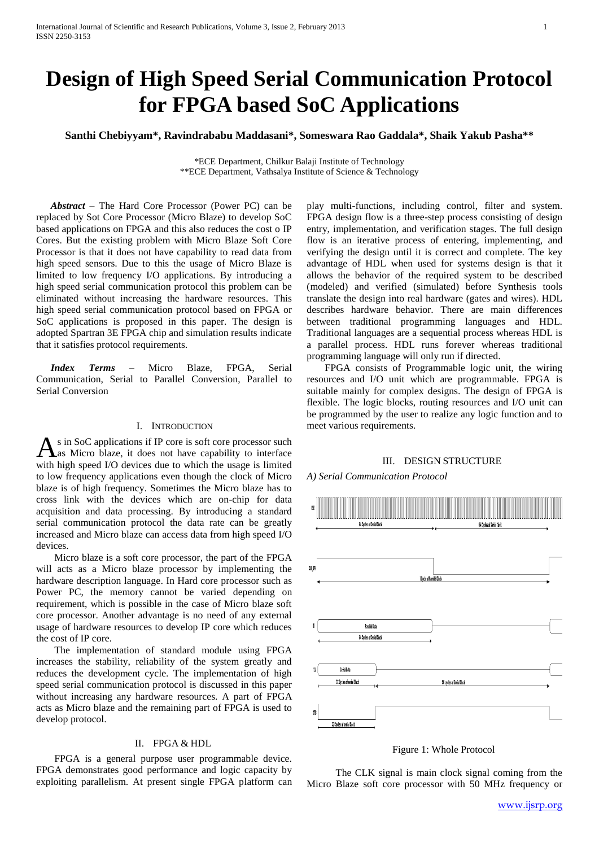# **Design of High Speed Serial Communication Protocol for FPGA based SoC Applications**

**Santhi Chebiyyam\*, Ravindrababu Maddasani\*, Someswara Rao Gaddala\*, Shaik Yakub Pasha\*\***

\*ECE Department, Chilkur Balaji Institute of Technology \*\*ECE Department, Vathsalya Institute of Science & Technology

*Abstract* – The Hard Core Processor (Power PC) can be replaced by Sot Core Processor (Micro Blaze) to develop SoC based applications on FPGA and this also reduces the cost o IP Cores. But the existing problem with Micro Blaze Soft Core Processor is that it does not have capability to read data from high speed sensors. Due to this the usage of Micro Blaze is limited to low frequency I/O applications. By introducing a high speed serial communication protocol this problem can be eliminated without increasing the hardware resources. This high speed serial communication protocol based on FPGA or SoC applications is proposed in this paper. The design is adopted Spartran 3E FPGA chip and simulation results indicate that it satisfies protocol requirements.

*Index Terms* – Micro Blaze, FPGA, Serial Communication, Serial to Parallel Conversion, Parallel to Serial Conversion

## I. INTRODUCTION

s in SoC applications if IP core is soft core processor such As in SoC applications if IP core is soft core processor such as Micro blaze, it does not have capability to interface with high speed I/O devices due to which the usage is limited to low frequency applications even though the clock of Micro blaze is of high frequency. Sometimes the Micro blaze has to cross link with the devices which are on-chip for data acquisition and data processing. By introducing a standard serial communication protocol the data rate can be greatly increased and Micro blaze can access data from high speed I/O devices.

Micro blaze is a soft core processor, the part of the FPGA will acts as a Micro blaze processor by implementing the hardware description language. In Hard core processor such as Power PC, the memory cannot be varied depending on requirement, which is possible in the case of Micro blaze soft core processor. Another advantage is no need of any external usage of hardware resources to develop IP core which reduces the cost of IP core.

The implementation of standard module using FPGA increases the stability, reliability of the system greatly and reduces the development cycle. The implementation of high speed serial communication protocol is discussed in this paper without increasing any hardware resources. A part of FPGA acts as Micro blaze and the remaining part of FPGA is used to develop protocol.

# II. FPGA & HDL

FPGA is a general purpose user programmable device. FPGA demonstrates good performance and logic capacity by exploiting parallelism. At present single FPGA platform can

play multi-functions, including control, filter and system. FPGA design flow is a three-step process consisting of design entry, implementation, and verification stages. The full design flow is an iterative process of entering, implementing, and verifying the design until it is correct and complete. The key advantage of HDL when used for systems design is that it allows the behavior of the required system to be described (modeled) and verified (simulated) before Synthesis tools translate the design into real hardware (gates and wires). HDL describes hardware behavior. There are main differences between traditional programming languages and HDL. Traditional languages are a sequential process whereas HDL is a parallel process. HDL runs forever whereas traditional programming language will only run if directed.

FPGA consists of Programmable logic unit, the wiring resources and I/O unit which are programmable. FPGA is suitable mainly for complex designs. The design of FPGA is flexible. The logic blocks, routing resources and I/O unit can be programmed by the user to realize any logic function and to meet various requirements.

## III. DESIGN STRUCTURE

*A) Serial Communication Protocol*



Figure 1: Whole Protocol

The CLK signal is main clock signal coming from the Micro Blaze soft core processor with 50 MHz frequency or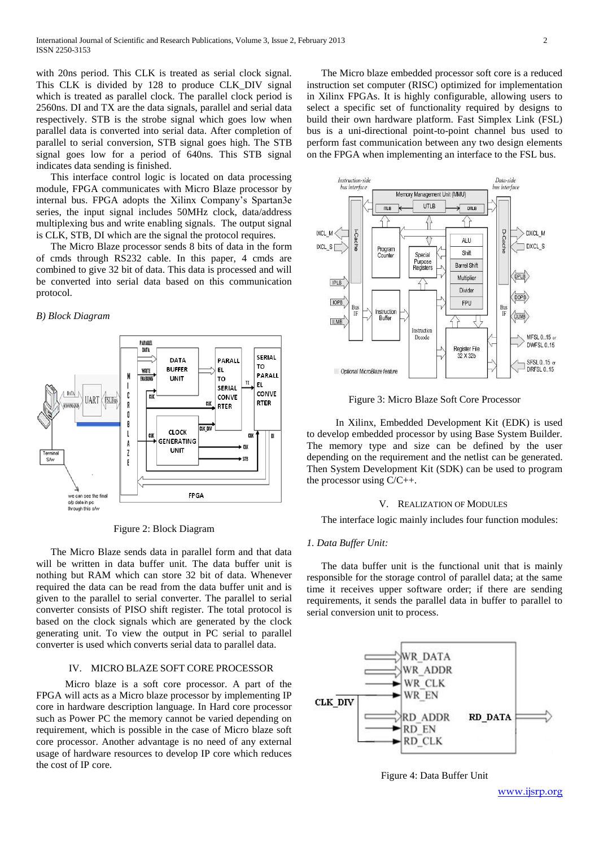with 20ns period. This CLK is treated as serial clock signal. This CLK is divided by 128 to produce CLK\_DIV signal which is treated as parallel clock. The parallel clock period is 2560ns. DI and TX are the data signals, parallel and serial data respectively. STB is the strobe signal which goes low when parallel data is converted into serial data. After completion of parallel to serial conversion, STB signal goes high. The STB signal goes low for a period of 640ns. This STB signal indicates data sending is finished.

This interface control logic is located on data processing module, FPGA communicates with Micro Blaze processor by internal bus. FPGA adopts the Xilinx Company's Spartan3e series, the input signal includes 50MHz clock, data/address multiplexing bus and write enabling signals. The output signal is CLK, STB, DI which are the signal the protocol requires.

The Micro Blaze processor sends 8 bits of data in the form of cmds through RS232 cable. In this paper, 4 cmds are combined to give 32 bit of data. This data is processed and will be converted into serial data based on this communication protocol.

# *B) Block Diagram*



Figure 2: Block Diagram

The Micro Blaze sends data in parallel form and that data will be written in data buffer unit. The data buffer unit is nothing but RAM which can store 32 bit of data. Whenever required the data can be read from the data buffer unit and is given to the parallel to serial converter. The parallel to serial converter consists of PISO shift register. The total protocol is based on the clock signals which are generated by the clock generating unit. To view the output in PC serial to parallel converter is used which converts serial data to parallel data.

## IV. MICRO BLAZE SOFT CORE PROCESSOR

Micro blaze is a soft core processor. A part of the FPGA will acts as a Micro blaze processor by implementing IP core in hardware description language. In Hard core processor such as Power PC the memory cannot be varied depending on requirement, which is possible in the case of Micro blaze soft core processor. Another advantage is no need of any external usage of hardware resources to develop IP core which reduces the cost of IP core.

The Micro blaze embedded processor soft core is a reduced instruction set computer (RISC) optimized for implementation in Xilinx FPGAs. It is highly configurable, allowing users to select a specific set of functionality required by designs to build their own hardware platform. Fast Simplex Link (FSL) bus is a uni-directional point-to-point channel bus used to perform fast communication between any two design elements on the FPGA when implementing an interface to the FSL bus.



Figure 3: Micro Blaze Soft Core Processor

In Xilinx, Embedded Development Kit (EDK) is used to develop embedded processor by using Base System Builder. The memory type and size can be defined by the user depending on the requirement and the netlist can be generated. Then System Development Kit (SDK) can be used to program the processor using  $C/C_{++}$ .

#### V. REALIZATION OF MODULES

The interface logic mainly includes four function modules:

#### *1. Data Buffer Unit:*

The data buffer unit is the functional unit that is mainly responsible for the storage control of parallel data; at the same time it receives upper software order; if there are sending requirements, it sends the parallel data in buffer to parallel to serial conversion unit to process.



Figure 4: Data Buffer Unit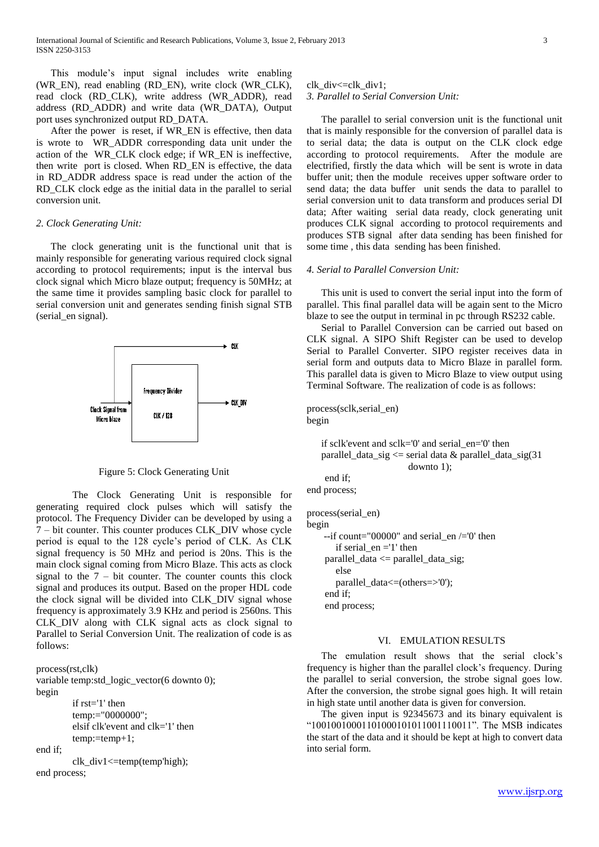This module's input signal includes write enabling (WR\_EN), read enabling (RD\_EN), write clock (WR\_CLK), read clock (RD\_CLK), write address (WR\_ADDR), read address (RD\_ADDR) and write data (WR\_DATA), Output port uses synchronized output RD\_DATA.

After the power is reset, if WR\_EN is effective, then data is wrote to WR\_ADDR corresponding data unit under the action of the WR\_CLK clock edge; if WR\_EN is ineffective, then write port is closed. When RD\_EN is effective, the data in RD\_ADDR address space is read under the action of the RD CLK clock edge as the initial data in the parallel to serial conversion unit.

## *2. Clock Generating Unit:*

The clock generating unit is the functional unit that is mainly responsible for generating various required clock signal according to protocol requirements; input is the interval bus clock signal which Micro blaze output; frequency is 50MHz; at the same time it provides sampling basic clock for parallel to serial conversion unit and generates sending finish signal STB (serial\_en signal).



Figure 5: Clock Generating Unit

The Clock Generating Unit is responsible for generating required clock pulses which will satisfy the protocol. The Frequency Divider can be developed by using a 7 – bit counter. This counter produces CLK\_DIV whose cycle period is equal to the 128 cycle's period of CLK. As CLK signal frequency is 50 MHz and period is 20ns. This is the main clock signal coming from Micro Blaze. This acts as clock signal to the  $7 - bit$  counter. The counter counts this clock signal and produces its output. Based on the proper HDL code the clock signal will be divided into CLK\_DIV signal whose frequency is approximately 3.9 KHz and period is 2560ns. This CLK\_DIV along with CLK signal acts as clock signal to Parallel to Serial Conversion Unit. The realization of code is as follows:

```
process(rst,clk)
variable temp:std_logic_vector(6 downto 0);
begin
        if rst='1' then
        temp:="0000000";
        elsif clk'event and clk='1' then
        temp:=temp+1;
end if;
        clk_div1<=temp(temp'high);
end process;
```
clk div $\leq$ =clk div1:

*3. Parallel to Serial Conversion Unit:* 

The parallel to serial conversion unit is the functional unit that is mainly responsible for the conversion of parallel data is to serial data; the data is output on the CLK clock edge according to protocol requirements. After the module are electrified, firstly the data which will be sent is wrote in data buffer unit; then the module receives upper software order to send data; the data buffer unit sends the data to parallel to serial conversion unit to data transform and produces serial DI data; After waiting serial data ready, clock generating unit produces CLK signal according to protocol requirements and produces STB signal after data sending has been finished for some time , this data sending has been finished.

#### *4. Serial to Parallel Conversion Unit:*

This unit is used to convert the serial input into the form of parallel. This final parallel data will be again sent to the Micro blaze to see the output in terminal in pc through RS232 cable.

Serial to Parallel Conversion can be carried out based on CLK signal. A SIPO Shift Register can be used to develop Serial to Parallel Converter. SIPO register receives data in serial form and outputs data to Micro Blaze in parallel form. This parallel data is given to Micro Blaze to view output using Terminal Software. The realization of code is as follows:

process(sclk,serial\_en) begin

if sclk'event and sclk='0' and serial\_en='0' then parallel\_data\_sig <= serial data & parallel\_data\_sig(31 downto 1); end if; end process; process(serial\_en)

```
begin
    -if count="00000" and serial en /='0' then
       if serial en = '1' then
    parallel\_data \leq parallel\_data\_sig;else 
       parallel_data<=(others=>'0');
    end if;
    end process;
```
#### VI. EMULATION RESULTS

The emulation result shows that the serial clock's frequency is higher than the parallel clock's frequency. During the parallel to serial conversion, the strobe signal goes low. After the conversion, the strobe signal goes high. It will retain in high state until another data is given for conversion.

The given input is 92345673 and its binary equivalent is "10010010001101000101011001110011". The MSB indicates the start of the data and it should be kept at high to convert data into serial form.